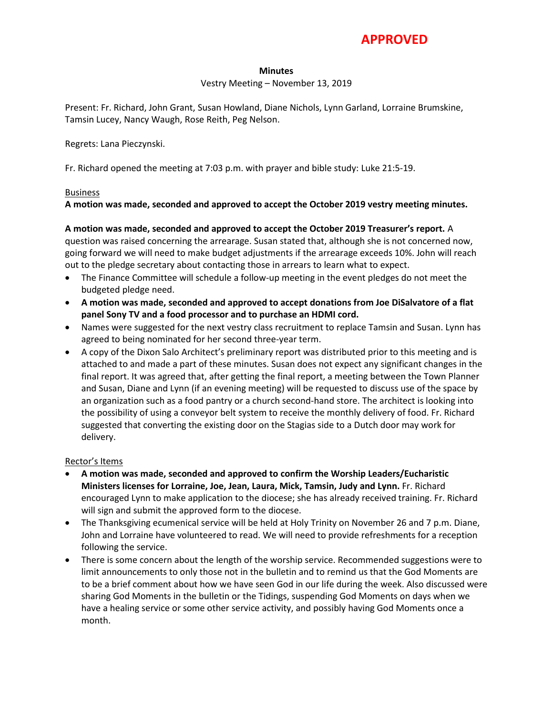# **APPROVED**

#### **Minutes**

#### Vestry Meeting – November 13, 2019

Present: Fr. Richard, John Grant, Susan Howland, Diane Nichols, Lynn Garland, Lorraine Brumskine, Tamsin Lucey, Nancy Waugh, Rose Reith, Peg Nelson.

#### Regrets: Lana Pieczynski.

Fr. Richard opened the meeting at 7:03 p.m. with prayer and bible study: Luke 21:5-19.

#### Business

### **A motion was made, seconded and approved to accept the October 2019 vestry meeting minutes.**

#### **A motion was made, seconded and approved to accept the October 2019 Treasurer's report.** A

question was raised concerning the arrearage. Susan stated that, although she is not concerned now, going forward we will need to make budget adjustments if the arrearage exceeds 10%. John will reach out to the pledge secretary about contacting those in arrears to learn what to expect.

- The Finance Committee will schedule a follow-up meeting in the event pledges do not meet the budgeted pledge need.
- **A motion was made, seconded and approved to accept donations from Joe DiSalvatore of a flat panel Sony TV and a food processor and to purchase an HDMI cord.**
- Names were suggested for the next vestry class recruitment to replace Tamsin and Susan. Lynn has agreed to being nominated for her second three-year term.
- A copy of the Dixon Salo Architect's preliminary report was distributed prior to this meeting and is attached to and made a part of these minutes. Susan does not expect any significant changes in the final report. It was agreed that, after getting the final report, a meeting between the Town Planner and Susan, Diane and Lynn (if an evening meeting) will be requested to discuss use of the space by an organization such as a food pantry or a church second-hand store. The architect is looking into the possibility of using a conveyor belt system to receive the monthly delivery of food. Fr. Richard suggested that converting the existing door on the Stagias side to a Dutch door may work for delivery.

#### Rector's Items

- **A motion was made, seconded and approved to confirm the Worship Leaders/Eucharistic Ministers licenses for Lorraine, Joe, Jean, Laura, Mick, Tamsin, Judy and Lynn.** Fr. Richard encouraged Lynn to make application to the diocese; she has already received training. Fr. Richard will sign and submit the approved form to the diocese.
- The Thanksgiving ecumenical service will be held at Holy Trinity on November 26 and 7 p.m. Diane, John and Lorraine have volunteered to read. We will need to provide refreshments for a reception following the service.
- There is some concern about the length of the worship service. Recommended suggestions were to limit announcements to only those not in the bulletin and to remind us that the God Moments are to be a brief comment about how we have seen God in our life during the week. Also discussed were sharing God Moments in the bulletin or the Tidings, suspending God Moments on days when we have a healing service or some other service activity, and possibly having God Moments once a month.